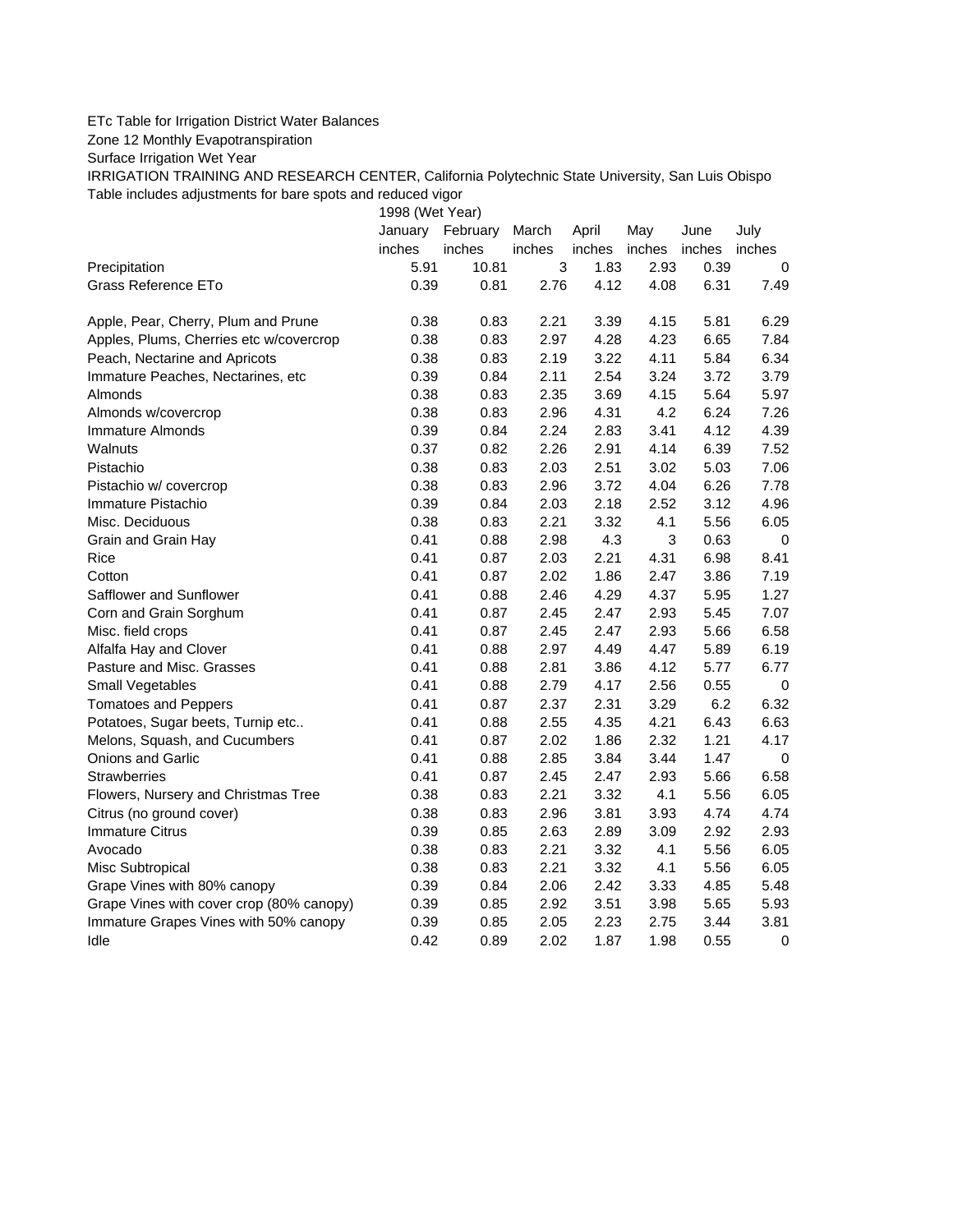## ETc Table for Irrigation District Water Balances

Zone 12 Monthly Evapotranspiration

Surface Irrigation Wet Year

IRRIGATION TRAINING AND RESEARCH CENTER, California Polytechnic State University, San Luis Obispo Table includes adjustments for bare spots and reduced vigor

1998 (Wet Year)

|                                          | January<br>inches | February<br>inches | March<br>inches | April<br>inches | May<br>inches | June<br>inches | July<br>inches |
|------------------------------------------|-------------------|--------------------|-----------------|-----------------|---------------|----------------|----------------|
| Precipitation                            | 5.91              | 10.81              | $\mathsf 3$     | 1.83            | 2.93          | 0.39           | 0              |
| Grass Reference ETo                      | 0.39              | 0.81               | 2.76            | 4.12            | 4.08          | 6.31           | 7.49           |
|                                          |                   |                    |                 |                 |               |                |                |
| Apple, Pear, Cherry, Plum and Prune      | 0.38              | 0.83               | 2.21            | 3.39            | 4.15          | 5.81           | 6.29           |
| Apples, Plums, Cherries etc w/covercrop  | 0.38              | 0.83               | 2.97            | 4.28            | 4.23          | 6.65           | 7.84           |
| Peach, Nectarine and Apricots            | 0.38              | 0.83               | 2.19            | 3.22            | 4.11          | 5.84           | 6.34           |
| Immature Peaches, Nectarines, etc        | 0.39              | 0.84               | 2.11            | 2.54            | 3.24          | 3.72           | 3.79           |
| Almonds                                  | 0.38              | 0.83               | 2.35            | 3.69            | 4.15          | 5.64           | 5.97           |
| Almonds w/covercrop                      | 0.38              | 0.83               | 2.96            | 4.31            | 4.2           | 6.24           | 7.26           |
| <b>Immature Almonds</b>                  | 0.39              | 0.84               | 2.24            | 2.83            | 3.41          | 4.12           | 4.39           |
| Walnuts                                  | 0.37              | 0.82               | 2.26            | 2.91            | 4.14          | 6.39           | 7.52           |
| Pistachio                                | 0.38              | 0.83               | 2.03            | 2.51            | 3.02          | 5.03           | 7.06           |
| Pistachio w/ covercrop                   | 0.38              | 0.83               | 2.96            | 3.72            | 4.04          | 6.26           | 7.78           |
| Immature Pistachio                       | 0.39              | 0.84               | 2.03            | 2.18            | 2.52          | 3.12           | 4.96           |
| Misc. Deciduous                          | 0.38              | 0.83               | 2.21            | 3.32            | 4.1           | 5.56           | 6.05           |
| Grain and Grain Hay                      | 0.41              | 0.88               | 2.98            | 4.3             | 3             | 0.63           | 0              |
| Rice                                     | 0.41              | 0.87               | 2.03            | 2.21            | 4.31          | 6.98           | 8.41           |
| Cotton                                   | 0.41              | 0.87               | 2.02            | 1.86            | 2.47          | 3.86           | 7.19           |
| Safflower and Sunflower                  | 0.41              | 0.88               | 2.46            | 4.29            | 4.37          | 5.95           | 1.27           |
| Corn and Grain Sorghum                   | 0.41              | 0.87               | 2.45            | 2.47            | 2.93          | 5.45           | 7.07           |
| Misc. field crops                        | 0.41              | 0.87               | 2.45            | 2.47            | 2.93          | 5.66           | 6.58           |
| Alfalfa Hay and Clover                   | 0.41              | 0.88               | 2.97            | 4.49            | 4.47          | 5.89           | 6.19           |
| Pasture and Misc. Grasses                | 0.41              | 0.88               | 2.81            | 3.86            | 4.12          | 5.77           | 6.77           |
| Small Vegetables                         | 0.41              | 0.88               | 2.79            | 4.17            | 2.56          | 0.55           | $\mathbf 0$    |
| <b>Tomatoes and Peppers</b>              | 0.41              | 0.87               | 2.37            | 2.31            | 3.29          | 6.2            | 6.32           |
| Potatoes, Sugar beets, Turnip etc        | 0.41              | 0.88               | 2.55            | 4.35            | 4.21          | 6.43           | 6.63           |
| Melons, Squash, and Cucumbers            | 0.41              | 0.87               | 2.02            | 1.86            | 2.32          | 1.21           | 4.17           |
| Onions and Garlic                        | 0.41              | 0.88               | 2.85            | 3.84            | 3.44          | 1.47           | $\mathbf 0$    |
| <b>Strawberries</b>                      | 0.41              | 0.87               | 2.45            | 2.47            | 2.93          | 5.66           | 6.58           |
| Flowers, Nursery and Christmas Tree      | 0.38              | 0.83               | 2.21            | 3.32            | 4.1           | 5.56           | 6.05           |
| Citrus (no ground cover)                 | 0.38              | 0.83               | 2.96            | 3.81            | 3.93          | 4.74           | 4.74           |
| <b>Immature Citrus</b>                   | 0.39              | 0.85               | 2.63            | 2.89            | 3.09          | 2.92           | 2.93           |
| Avocado                                  | 0.38              | 0.83               | 2.21            | 3.32            | 4.1           | 5.56           | 6.05           |
| Misc Subtropical                         | 0.38              | 0.83               | 2.21            | 3.32            | 4.1           | 5.56           | 6.05           |
| Grape Vines with 80% canopy              | 0.39              | 0.84               | 2.06            | 2.42            | 3.33          | 4.85           | 5.48           |
| Grape Vines with cover crop (80% canopy) | 0.39              | 0.85               | 2.92            | 3.51            | 3.98          | 5.65           | 5.93           |
| Immature Grapes Vines with 50% canopy    | 0.39              | 0.85               | 2.05            | 2.23            | 2.75          | 3.44           | 3.81           |
| Idle                                     | 0.42              | 0.89               | 2.02            | 1.87            | 1.98          | 0.55           | 0              |